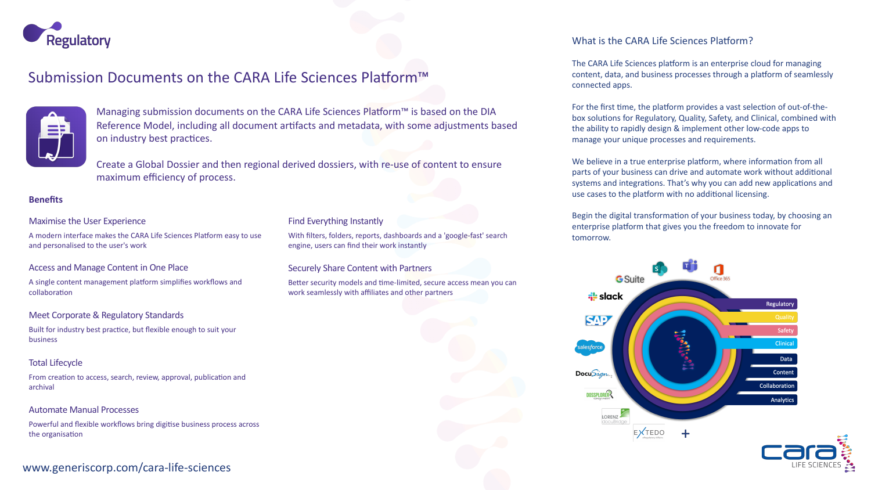

# Submission Documents on the CARA Life Sciences Platform™



Managing submission documents on the CARA Life Sciences Platform™ is based on the DIA Reference Model, including all document artifacts and metadata, with some adjustments based on industry best practices.

Create a Global Dossier and then regional derived dossiers, with re-use of content to ensure maximum efficiency of process.

### **Benefits**

### Maximise the User Experience

A modern interface makes the CARA Life Sciences Platform easy to use and personalised to the user's work

### Access and Manage Content in One Place

A single content management platform simplifies workflows and collaboration

### Meet Corporate & Regulatory Standards

Built for industry best practice, but flexible enough to suit your business

### Total Lifecycle

From creation to access, search, review, approval, publication and archival

### Automate Manual Processes

Powerful and flexible workflows bring digitise business process across the organisation

## www.generiscorp.com/cara-life-sciences

### Find Everything Instantly

With filters, folders, reports, dashboards and a 'google-fast' search engine, users can find their work instantly

### Securely Share Content with Partners

Better security models and time-limited, secure access mean you can work seamlessly with affiliates and other partners

### What is the CARA Life Sciences Platform?

The CARA Life Sciences platform is an enterprise cloud for managing content, data, and business processes through a platform of seamlessly connected apps.

For the first time, the platform provides a vast selection of out-of-thebox solutions for Regulatory, Quality, Safety, and Clinical, combined with the ability to rapidly design & implement other low-code apps to manage your unique processes and requirements.

We believe in a true enterprise platform, where information from all parts of your business can drive and automate work without additional systems and integrations. That's why you can add new applications and use cases to the platform with no additional licensing.

Begin the digital transformation of your business today, by choosing an enterprise platform that gives you the freedom to innovate for tomorrow.